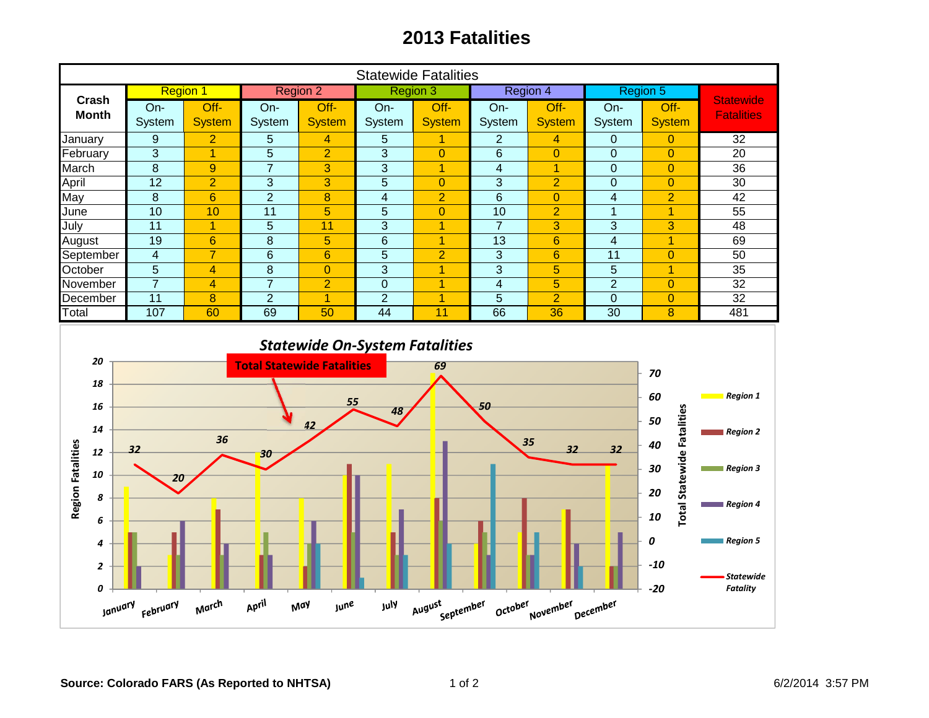## **2013 Fatalities**

| <b>Statewide Fatalities</b>                                                           |                         |                         |                                                  |                         |                                                     |                |                         |                |                  |                                                                                                    |                                                                                                                       |
|---------------------------------------------------------------------------------------|-------------------------|-------------------------|--------------------------------------------------|-------------------------|-----------------------------------------------------|----------------|-------------------------|----------------|------------------|----------------------------------------------------------------------------------------------------|-----------------------------------------------------------------------------------------------------------------------|
| Crash                                                                                 | <b>Region 1</b>         |                         | <b>Region 2</b>                                  |                         | <b>Region 3</b>                                     |                | Region 4                |                | Region 5         |                                                                                                    |                                                                                                                       |
| <b>Month</b>                                                                          | On-                     | $Off$ -                 | On-                                              | $Off -$                 | On-                                                 | $Off -$        | $On-$                   | Off-           | On-              | Off-                                                                                               | <b>Statewide</b><br><b>Fatalities</b>                                                                                 |
|                                                                                       | System                  | <b>System</b>           | System                                           | <b>System</b>           | System                                              | <b>System</b>  | System                  | <b>System</b>  | System           | <b>System</b>                                                                                      |                                                                                                                       |
| January                                                                               | $\boldsymbol{9}$        | $\overline{2}$          | $\sqrt{5}$                                       | 4                       | 5                                                   | 1              | $\overline{c}$          | $\overline{4}$ | $\boldsymbol{0}$ | $\overline{0}$                                                                                     | 32                                                                                                                    |
| February                                                                              | 3                       | $\overline{1}$          | 5                                                | $\overline{2}$          | 3                                                   | $\overline{0}$ | $\,6\,$                 | $\overline{0}$ | $\mathbf 0$      | $\overline{0}$                                                                                     | 20                                                                                                                    |
| March                                                                                 | $\overline{8}$          | $\boldsymbol{9}$        | $\overline{7}$                                   | 3                       | 3                                                   | $\overline{1}$ | $\overline{\mathbf{4}}$ | $\overline{1}$ | $\pmb{0}$        | $\overline{0}$                                                                                     | $\overline{36}$                                                                                                       |
| April                                                                                 | $\overline{12}$         | $\overline{2}$          | 3                                                | 3                       | $\overline{5}$                                      | $\overline{0}$ | 3                       | $\overline{2}$ | $\overline{0}$   | $\overline{0}$                                                                                     | 30                                                                                                                    |
| May                                                                                   | 8                       | $6\overline{6}$         | $\overline{2}$                                   | 8                       | $\overline{\mathbf{4}}$                             | $\overline{2}$ | $6\phantom{1}$          | $\overline{0}$ | $\overline{4}$   | $\overline{2}$                                                                                     | 42                                                                                                                    |
| June                                                                                  | 10                      | 10                      | 11                                               | 5                       | 5                                                   | $\overline{0}$ | 10                      | $\overline{2}$ | $\overline{1}$   | $\overline{1}$                                                                                     | $\overline{55}$                                                                                                       |
| July                                                                                  | 11                      | $\overline{1}$          | 5                                                | 11                      | 3                                                   | $\overline{1}$ | $\overline{7}$          | 3              | 3                | 3                                                                                                  | 48                                                                                                                    |
| August                                                                                | $\overline{19}$         | $\overline{6}$          | $\overline{8}$                                   | $\overline{5}$          | $\overline{6}$                                      | $\overline{1}$ | 13                      | $6\phantom{1}$ | $\overline{4}$   | $\overline{1}$                                                                                     | 69                                                                                                                    |
| September                                                                             | $\overline{\mathbf{4}}$ | $\overline{7}$          | $6\phantom{1}6$                                  | $6\phantom{1}6$         | $\overline{5}$                                      | $\overline{2}$ | $\overline{3}$          | $6\phantom{1}$ | $\overline{11}$  | $\overline{0}$                                                                                     | 50                                                                                                                    |
| October                                                                               | $\overline{5}$          | $\overline{\mathbf{4}}$ | $\bf 8$                                          | $\overline{0}$          | $\overline{3}$                                      | $\overline{1}$ | $\overline{3}$          | 5              | $\overline{5}$   | $\overline{1}$                                                                                     | $\overline{35}$                                                                                                       |
| November                                                                              | $\overline{7}$          | $\overline{4}$          | $\overline{7}$                                   | $\overline{2}$          | $\overline{0}$                                      | $\overline{1}$ | $\overline{\mathbf{4}}$ | $\overline{5}$ | $\overline{2}$   | $\overline{0}$                                                                                     | $\overline{32}$                                                                                                       |
| December                                                                              | $\overline{11}$         | 8                       | $\overline{2}$                                   | $\overline{1}$          | $\overline{2}$                                      | $\overline{1}$ | $\overline{5}$          | $\overline{2}$ | $\mathbf{0}$     | $\overline{0}$                                                                                     | 32                                                                                                                    |
| Total                                                                                 | 107                     | 60                      | 69                                               | 50                      | 44                                                  | 11             | 66                      | 36             | $\overline{30}$  | $\boldsymbol{8}$                                                                                   | 481                                                                                                                   |
| 20<br>18<br>16<br>14<br><b>Region Fatalities</b><br>12<br>10<br>8<br>6<br>4<br>2<br>0 | 32<br>20                | 36<br>March             | <b>Total Statewide Fatalities</b><br>30<br>April | 55<br>42<br><b>June</b> | <b>Statewide On-System Fatalities</b><br>48<br>July | 69             | 50                      | 35<br>32       | 32               | 70<br>60<br><b>Total Statewide Fatalities</b><br>50<br>40<br>30<br>20<br>10<br>0<br>$-10$<br>$-20$ | <b>Region 1</b><br>Region 2<br>Region 3<br>$\blacksquare$ Region 4<br>Region 5<br><b>Statewide</b><br><b>Fatality</b> |
| August<br>September<br>October<br>November<br>December<br>January<br>February<br>May  |                         |                         |                                                  |                         |                                                     |                |                         |                |                  |                                                                                                    |                                                                                                                       |